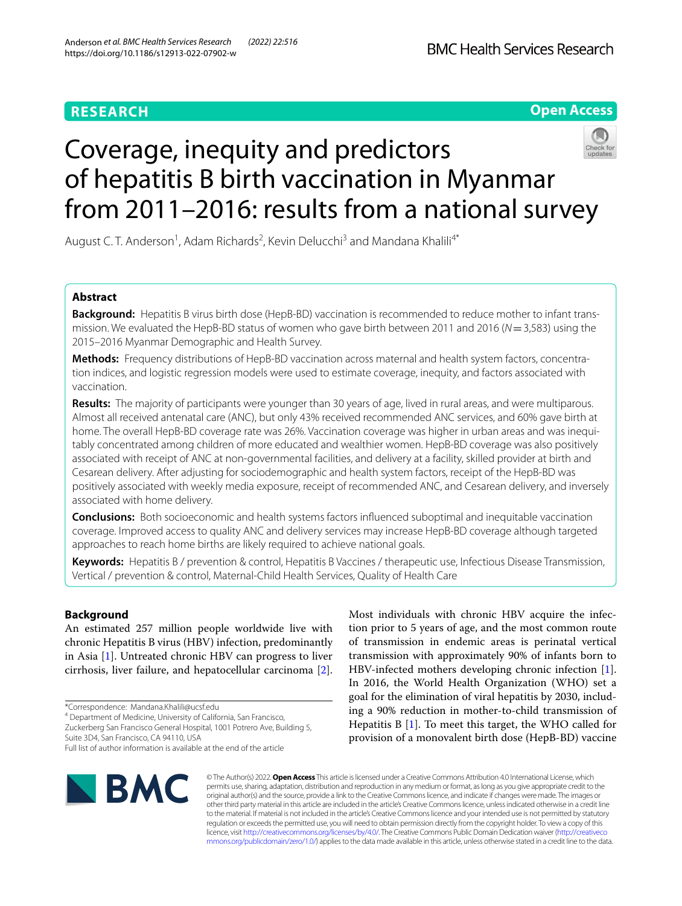# **RESEARCH**

# **Open Access**

# Coverage, inequity and predictors of hepatitis B birth vaccination in Myanmar from 2011–2016: results from a national survey

August C. T. Anderson<sup>1</sup>, Adam Richards<sup>2</sup>, Kevin Delucchi<sup>3</sup> and Mandana Khalili<sup>4\*</sup>

## **Abstract**

**Background:** Hepatitis B virus birth dose (HepB-BD) vaccination is recommended to reduce mother to infant transmission. We evaluated the HepB-BD status of women who gave birth between 2011 and 2016 (*N*=3,583) using the 2015–2016 Myanmar Demographic and Health Survey.

**Methods:** Frequency distributions of HepB-BD vaccination across maternal and health system factors, concentration indices, and logistic regression models were used to estimate coverage, inequity, and factors associated with vaccination.

**Results:** The majority of participants were younger than 30 years of age, lived in rural areas, and were multiparous. Almost all received antenatal care (ANC), but only 43% received recommended ANC services, and 60% gave birth at home. The overall HepB-BD coverage rate was 26%. Vaccination coverage was higher in urban areas and was inequitably concentrated among children of more educated and wealthier women. HepB-BD coverage was also positively associated with receipt of ANC at non-governmental facilities, and delivery at a facility, skilled provider at birth and Cesarean delivery. After adjusting for sociodemographic and health system factors, receipt of the HepB-BD was positively associated with weekly media exposure, receipt of recommended ANC, and Cesarean delivery, and inversely associated with home delivery.

**Conclusions:** Both socioeconomic and health systems factors infuenced suboptimal and inequitable vaccination coverage. Improved access to quality ANC and delivery services may increase HepB-BD coverage although targeted approaches to reach home births are likely required to achieve national goals.

**Keywords:** Hepatitis B / prevention & control, Hepatitis B Vaccines / therapeutic use, Infectious Disease Transmission, Vertical / prevention & control, Maternal-Child Health Services, Quality of Health Care

## **Background**

An estimated 257 million people worldwide live with chronic Hepatitis B virus (HBV) infection, predominantly in Asia [[1\]](#page-10-0). Untreated chronic HBV can progress to liver cirrhosis, liver failure, and hepatocellular carcinoma [\[2](#page-10-1)].

\*Correspondence: Mandana.Khalili@ucsf.edu

4 Department of Medicine, University of California, San Francisco,

Zuckerberg San Francisco General Hospital, 1001 Potrero Ave, Building 5, Suite 3D4, San Francisco, CA 94110, USA

Most individuals with chronic HBV acquire the infection prior to 5 years of age, and the most common route of transmission in endemic areas is perinatal vertical transmission with approximately 90% of infants born to HBV-infected mothers developing chronic infection [\[1](#page-10-0)]. In 2016, the World Health Organization (WHO) set a goal for the elimination of viral hepatitis by 2030, including a 90% reduction in mother-to-child transmission of Hepatitis B [\[1](#page-10-0)]. To meet this target, the WHO called for provision of a monovalent birth dose (HepB-BD) vaccine



© The Author(s) 2022. **Open Access** This article is licensed under a Creative Commons Attribution 4.0 International License, which permits use, sharing, adaptation, distribution and reproduction in any medium or format, as long as you give appropriate credit to the original author(s) and the source, provide a link to the Creative Commons licence, and indicate if changes were made. The images or other third party material in this article are included in the article's Creative Commons licence, unless indicated otherwise in a credit line to the material. If material is not included in the article's Creative Commons licence and your intended use is not permitted by statutory regulation or exceeds the permitted use, you will need to obtain permission directly from the copyright holder. To view a copy of this licence, visit [http://creativecommons.org/licenses/by/4.0/.](http://creativecommons.org/licenses/by/4.0/) The Creative Commons Public Domain Dedication waiver ([http://creativeco](http://creativecommons.org/publicdomain/zero/1.0/) [mmons.org/publicdomain/zero/1.0/](http://creativecommons.org/publicdomain/zero/1.0/)) applies to the data made available in this article, unless otherwise stated in a credit line to the data.

Full list of author information is available at the end of the article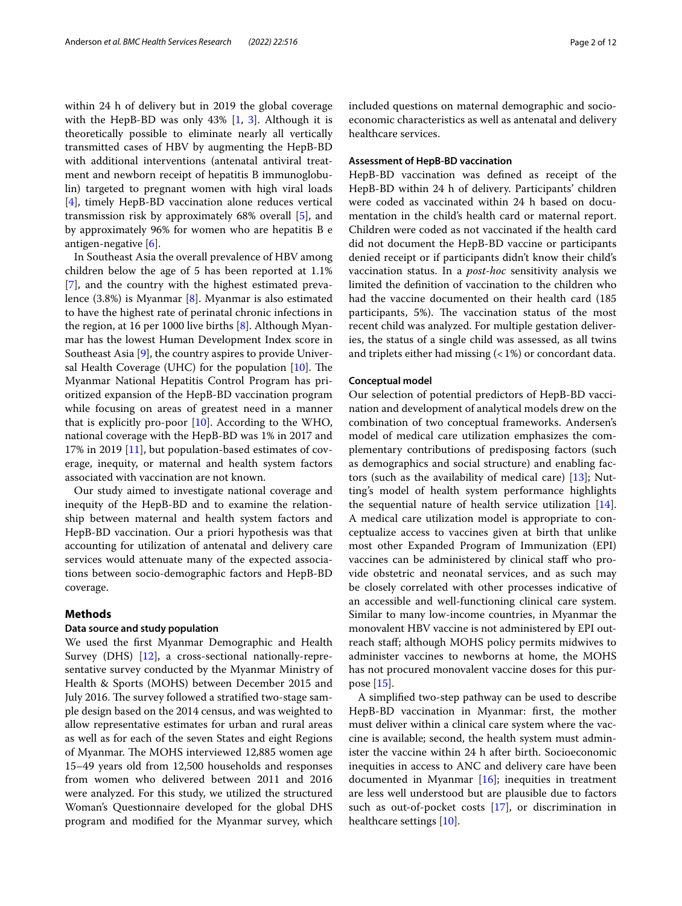within 24 h of delivery but in 2019 the global coverage with the HepB-BD was only  $43\%$  [[1](#page-10-0), [3\]](#page-10-2). Although it is theoretically possible to eliminate nearly all vertically transmitted cases of HBV by augmenting the HepB-BD with additional interventions (antenatal antiviral treatment and newborn receipt of hepatitis B immunoglobulin) targeted to pregnant women with high viral loads [[4\]](#page-10-3), timely HepB-BD vaccination alone reduces vertical transmission risk by approximately 68% overall [\[5](#page-10-4)], and by approximately 96% for women who are hepatitis B e antigen-negative [\[6](#page-10-5)].

In Southeast Asia the overall prevalence of HBV among children below the age of 5 has been reported at 1.1% [[7\]](#page-10-6), and the country with the highest estimated prevalence (3.8%) is Myanmar [\[8](#page-10-7)]. Myanmar is also estimated to have the highest rate of perinatal chronic infections in the region, at 16 per 1000 live births [[8\]](#page-10-7). Although Myanmar has the lowest Human Development Index score in Southeast Asia [[9\]](#page-10-8), the country aspires to provide Universal Health Coverage (UHC) for the population  $[10]$  $[10]$ . The Myanmar National Hepatitis Control Program has prioritized expansion of the HepB-BD vaccination program while focusing on areas of greatest need in a manner that is explicitly pro-poor [\[10](#page-10-9)]. According to the WHO, national coverage with the HepB-BD was 1% in 2017 and 17% in 2019 [\[11](#page-10-10)], but population-based estimates of coverage, inequity, or maternal and health system factors associated with vaccination are not known.

Our study aimed to investigate national coverage and inequity of the HepB-BD and to examine the relationship between maternal and health system factors and HepB-BD vaccination. Our a priori hypothesis was that accounting for utilization of antenatal and delivery care services would attenuate many of the expected associations between socio-demographic factors and HepB-BD coverage.

## **Methods**

## **Data source and study population**

We used the frst Myanmar Demographic and Health Survey (DHS) [[12](#page-10-11)], a cross-sectional nationally-representative survey conducted by the Myanmar Ministry of Health & Sports (MOHS) between December 2015 and July 2016. The survey followed a stratified two-stage sample design based on the 2014 census, and was weighted to allow representative estimates for urban and rural areas as well as for each of the seven States and eight Regions of Myanmar. The MOHS interviewed 12,885 women age 15–49 years old from 12,500 households and responses from women who delivered between 2011 and 2016 were analyzed. For this study, we utilized the structured Woman's Questionnaire developed for the global DHS program and modifed for the Myanmar survey, which included questions on maternal demographic and socioeconomic characteristics as well as antenatal and delivery healthcare services.

## **Assessment of HepB‑BD vaccination**

HepB-BD vaccination was defned as receipt of the HepB-BD within 24 h of delivery. Participants' children were coded as vaccinated within 24 h based on documentation in the child's health card or maternal report. Children were coded as not vaccinated if the health card did not document the HepB-BD vaccine or participants denied receipt or if participants didn't know their child's vaccination status. In a *post-hoc* sensitivity analysis we limited the defnition of vaccination to the children who had the vaccine documented on their health card (185 participants, 5%). The vaccination status of the most recent child was analyzed. For multiple gestation deliveries, the status of a single child was assessed, as all twins and triplets either had missing  $($  < 1%) or concordant data.

## **Conceptual model**

Our selection of potential predictors of HepB-BD vaccination and development of analytical models drew on the combination of two conceptual frameworks. Andersen's model of medical care utilization emphasizes the complementary contributions of predisposing factors (such as demographics and social structure) and enabling factors (such as the availability of medical care) [\[13](#page-11-0)]; Nutting's model of health system performance highlights the sequential nature of health service utilization [\[14](#page-11-1)]. A medical care utilization model is appropriate to conceptualize access to vaccines given at birth that unlike most other Expanded Program of Immunization (EPI) vaccines can be administered by clinical staff who provide obstetric and neonatal services, and as such may be closely correlated with other processes indicative of an accessible and well-functioning clinical care system. Similar to many low-income countries, in Myanmar the monovalent HBV vaccine is not administered by EPI outreach staf; although MOHS policy permits midwives to administer vaccines to newborns at home, the MOHS has not procured monovalent vaccine doses for this purpose [\[15\]](#page-11-2).

A simplifed two-step pathway can be used to describe HepB-BD vaccination in Myanmar: frst, the mother must deliver within a clinical care system where the vaccine is available; second, the health system must administer the vaccine within 24 h after birth. Socioeconomic inequities in access to ANC and delivery care have been documented in Myanmar [\[16\]](#page-11-3); inequities in treatment are less well understood but are plausible due to factors such as out-of-pocket costs [[17\]](#page-11-4), or discrimination in healthcare settings [[10\]](#page-10-9).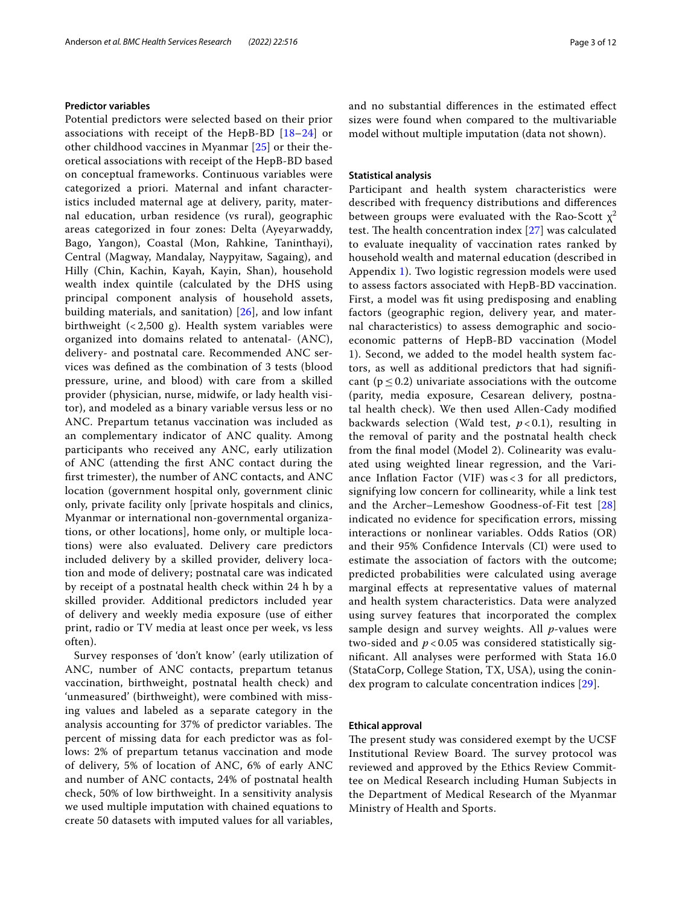## **Predictor variables**

Potential predictors were selected based on their prior associations with receipt of the HepB-BD [[18–](#page-11-5)[24\]](#page-11-6) or other childhood vaccines in Myanmar [[25](#page-11-7)] or their theoretical associations with receipt of the HepB-BD based on conceptual frameworks. Continuous variables were categorized a priori. Maternal and infant characteristics included maternal age at delivery, parity, maternal education, urban residence (vs rural), geographic areas categorized in four zones: Delta (Ayeyarwaddy, Bago, Yangon), Coastal (Mon, Rahkine, Taninthayi), Central (Magway, Mandalay, Naypyitaw, Sagaing), and Hilly (Chin, Kachin, Kayah, Kayin, Shan), household wealth index quintile (calculated by the DHS using principal component analysis of household assets, building materials, and sanitation) [[26\]](#page-11-8), and low infant birthweight  $\left( < 2,500 \right)$  g). Health system variables were organized into domains related to antenatal- (ANC), delivery- and postnatal care. Recommended ANC services was defned as the combination of 3 tests (blood pressure, urine, and blood) with care from a skilled provider (physician, nurse, midwife, or lady health visitor), and modeled as a binary variable versus less or no ANC. Prepartum tetanus vaccination was included as an complementary indicator of ANC quality. Among participants who received any ANC, early utilization of ANC (attending the frst ANC contact during the frst trimester), the number of ANC contacts, and ANC location (government hospital only, government clinic only, private facility only [private hospitals and clinics, Myanmar or international non-governmental organizations, or other locations], home only, or multiple locations) were also evaluated. Delivery care predictors included delivery by a skilled provider, delivery location and mode of delivery; postnatal care was indicated by receipt of a postnatal health check within 24 h by a skilled provider. Additional predictors included year of delivery and weekly media exposure (use of either print, radio or TV media at least once per week, vs less often).

Survey responses of 'don't know' (early utilization of ANC, number of ANC contacts, prepartum tetanus vaccination, birthweight, postnatal health check) and 'unmeasured' (birthweight), were combined with missing values and labeled as a separate category in the analysis accounting for 37% of predictor variables. The percent of missing data for each predictor was as follows: 2% of prepartum tetanus vaccination and mode of delivery, 5% of location of ANC, 6% of early ANC and number of ANC contacts, 24% of postnatal health check, 50% of low birthweight. In a sensitivity analysis we used multiple imputation with chained equations to create 50 datasets with imputed values for all variables,

and no substantial diferences in the estimated efect sizes were found when compared to the multivariable model without multiple imputation (data not shown).

### **Statistical analysis**

Participant and health system characteristics were described with frequency distributions and diferences between groups were evaluated with the Rao-Scott  $x^2$ test. The health concentration index  $[27]$  $[27]$  $[27]$  was calculated to evaluate inequality of vaccination rates ranked by household wealth and maternal education (described in Appendix [1\)](#page-10-12). Two logistic regression models were used to assess factors associated with HepB-BD vaccination. First, a model was ft using predisposing and enabling factors (geographic region, delivery year, and maternal characteristics) to assess demographic and socioeconomic patterns of HepB-BD vaccination (Model 1). Second, we added to the model health system factors, as well as additional predictors that had signifcant ( $p \le 0.2$ ) univariate associations with the outcome (parity, media exposure, Cesarean delivery, postnatal health check). We then used Allen-Cady modifed backwards selection (Wald test, *p* < 0.1), resulting in the removal of parity and the postnatal health check from the fnal model (Model 2). Colinearity was evaluated using weighted linear regression, and the Variance Infation Factor (VIF) was < 3 for all predictors, signifying low concern for collinearity, while a link test and the Archer–Lemeshow Goodness-of-Fit test [\[28](#page-11-10)] indicated no evidence for specifcation errors, missing interactions or nonlinear variables. Odds Ratios (OR) and their 95% Confdence Intervals (CI) were used to estimate the association of factors with the outcome; predicted probabilities were calculated using average marginal efects at representative values of maternal and health system characteristics. Data were analyzed using survey features that incorporated the complex sample design and survey weights. All *p*-values were two-sided and *p* < 0.05 was considered statistically signifcant. All analyses were performed with Stata 16.0 (StataCorp, College Station, TX, USA), using the conindex program to calculate concentration indices [\[29](#page-11-11)].

#### **Ethical approval**

The present study was considered exempt by the UCSF Institutional Review Board. The survey protocol was reviewed and approved by the Ethics Review Committee on Medical Research including Human Subjects in the Department of Medical Research of the Myanmar Ministry of Health and Sports.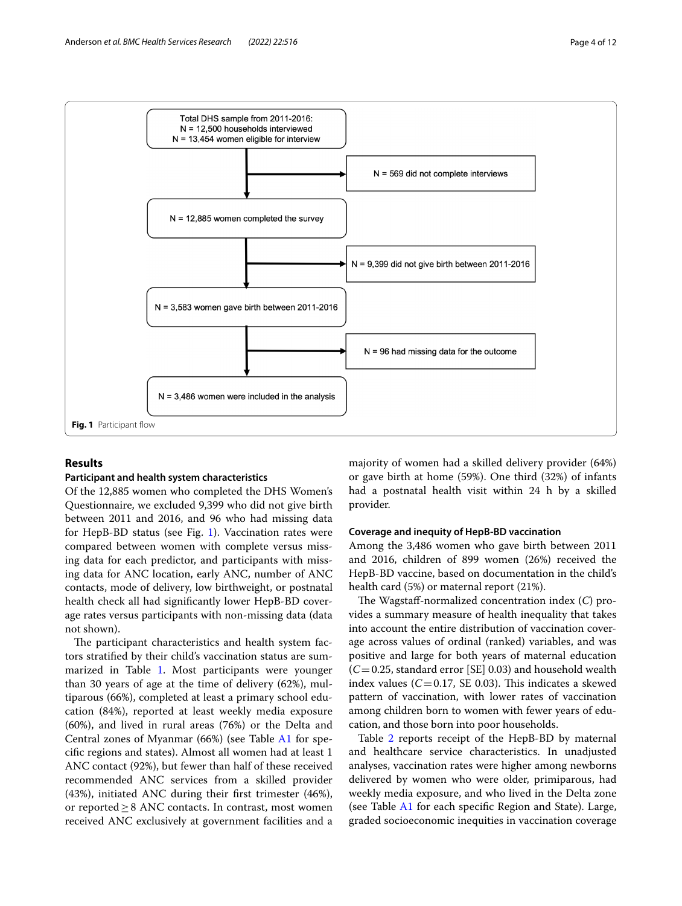

## <span id="page-3-0"></span>**Results**

#### **Participant and health system characteristics**

Of the 12,885 women who completed the DHS Women's Questionnaire, we excluded 9,399 who did not give birth between 2011 and 2016, and 96 who had missing data for HepB-BD status (see Fig. [1](#page-3-0)). Vaccination rates were compared between women with complete versus missing data for each predictor, and participants with missing data for ANC location, early ANC, number of ANC contacts, mode of delivery, low birthweight, or postnatal health check all had signifcantly lower HepB-BD coverage rates versus participants with non-missing data (data not shown).

The participant characteristics and health system factors stratifed by their child's vaccination status are sum-marized in Table [1](#page-4-0). Most participants were younger than 30 years of age at the time of delivery (62%), multiparous (66%), completed at least a primary school education (84%), reported at least weekly media exposure (60%), and lived in rural areas (76%) or the Delta and Central zones of Myanmar (66%) (see Table [A1](#page-10-12) for specifc regions and states). Almost all women had at least 1 ANC contact (92%), but fewer than half of these received recommended ANC services from a skilled provider (43%), initiated ANC during their frst trimester (46%), or reported $\geq$ 8 ANC contacts. In contrast, most women received ANC exclusively at government facilities and a majority of women had a skilled delivery provider (64%) or gave birth at home (59%). One third (32%) of infants had a postnatal health visit within 24 h by a skilled provider.

## **Coverage and inequity of HepB‑BD vaccination**

Among the 3,486 women who gave birth between 2011 and 2016, children of 899 women (26%) received the HepB-BD vaccine, based on documentation in the child's health card (5%) or maternal report (21%).

The Wagstaff-normalized concentration index (C) provides a summary measure of health inequality that takes into account the entire distribution of vaccination coverage across values of ordinal (ranked) variables, and was positive and large for both years of maternal education  $(C=0.25$ , standard error [SE] 0.03) and household wealth index values  $(C=0.17, \text{ SE } 0.03)$ . This indicates a skewed pattern of vaccination, with lower rates of vaccination among children born to women with fewer years of education, and those born into poor households.

Table [2](#page-6-0) reports receipt of the HepB-BD by maternal and healthcare service characteristics. In unadjusted analyses, vaccination rates were higher among newborns delivered by women who were older, primiparous, had weekly media exposure, and who lived in the Delta zone (see Table [A1](#page-10-12) for each specifc Region and State). Large, graded socioeconomic inequities in vaccination coverage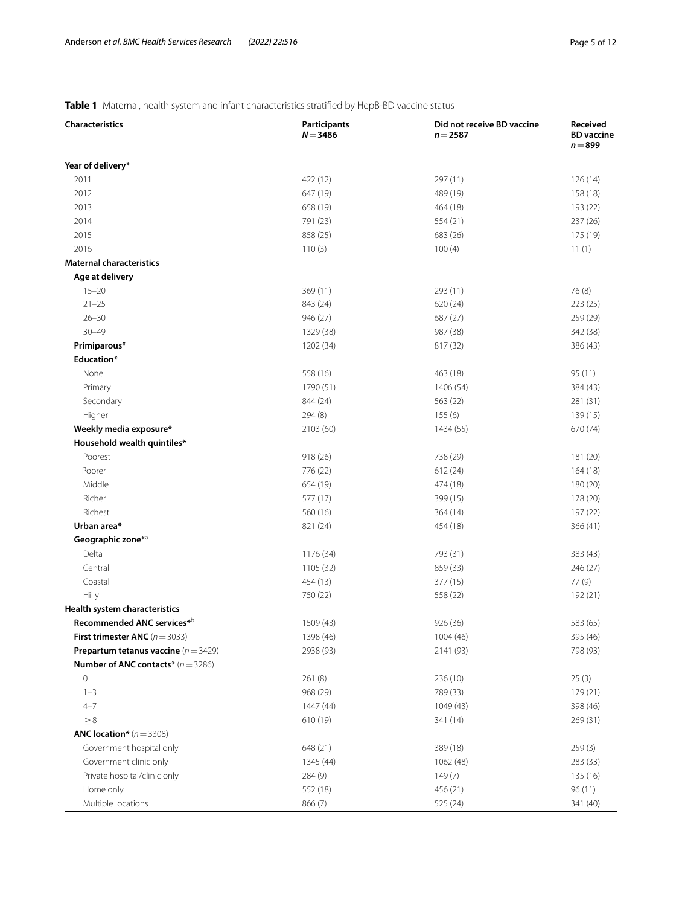# <span id="page-4-0"></span>**Table 1** Maternal, health system and infant characteristics stratifed by HepB-BD vaccine status

| <b>Characteristics</b>                          | Participants<br>$N = 3486$ | Did not receive BD vaccine<br>$n = 2587$ | Received<br><b>BD</b> vaccine<br>$n = 899$ |
|-------------------------------------------------|----------------------------|------------------------------------------|--------------------------------------------|
| Year of delivery*                               |                            |                                          |                                            |
| 2011                                            | 422 (12)                   | 297 (11)                                 | 126(14)                                    |
| 2012                                            | 647 (19)                   | 489 (19)                                 | 158 (18)                                   |
| 2013                                            | 658 (19)                   | 464 (18)                                 | 193 (22)                                   |
| 2014                                            | 791 (23)                   | 554 (21)                                 | 237 (26)                                   |
| 2015                                            | 858 (25)                   | 683 (26)                                 | 175 (19)                                   |
| 2016                                            | 110(3)                     | 100(4)                                   | 11(1)                                      |
| <b>Maternal characteristics</b>                 |                            |                                          |                                            |
| Age at delivery                                 |                            |                                          |                                            |
| $15 - 20$                                       | 369 (11)                   | 293 (11)                                 | 76(8)                                      |
| $21 - 25$                                       | 843 (24)                   | 620(24)                                  | 223 (25)                                   |
| $26 - 30$                                       | 946 (27)                   | 687 (27)                                 | 259 (29)                                   |
| $30 - 49$                                       | 1329 (38)                  | 987 (38)                                 | 342 (38)                                   |
| Primiparous*                                    | 1202 (34)                  | 817 (32)                                 | 386 (43)                                   |
| Education*                                      |                            |                                          |                                            |
| None                                            | 558 (16)                   | 463 (18)                                 | 95 (11)                                    |
| Primary                                         | 1790 (51)                  | 1406 (54)                                | 384 (43)                                   |
| Secondary                                       | 844 (24)                   | 563 (22)                                 | 281 (31)                                   |
| Higher                                          | 294(8)                     | 155(6)                                   | 139 (15)                                   |
| Weekly media exposure*                          | 2103 (60)                  | 1434 (55)                                | 670 (74)                                   |
| Household wealth quintiles*                     |                            |                                          |                                            |
| Poorest                                         | 918 (26)                   | 738 (29)                                 | 181 (20)                                   |
| Poorer                                          | 776 (22)                   | 612(24)                                  | 164(18)                                    |
| Middle                                          | 654 (19)                   | 474 (18)                                 | 180 (20)                                   |
| Richer                                          | 577 (17)                   | 399 (15)                                 | 178 (20)                                   |
| Richest                                         | 560 (16)                   | 364(14)                                  | 197 (22)                                   |
| Urban area*                                     | 821 (24)                   | 454 (18)                                 | 366 (41)                                   |
| Geographic zone* <sup>a</sup>                   |                            |                                          |                                            |
| Delta                                           | 1176 (34)                  | 793 (31)                                 | 383 (43)                                   |
| Central                                         | 1105 (32)                  | 859 (33)                                 | 246 (27)                                   |
| Coastal                                         | 454 (13)                   | 377 (15)                                 | 77 (9)                                     |
| Hilly                                           | 750 (22)                   | 558 (22)                                 | 192 (21)                                   |
| Health system characteristics                   |                            |                                          |                                            |
| Recommended ANC services*                       | 1509 (43)                  | 926 (36)                                 | 583 (65)                                   |
| <b>First trimester ANC</b> ( $n = 3033$ )       | 1398 (46)                  | 1004 (46)                                | 395 (46)                                   |
| <b>Prepartum tetanus vaccine</b> ( $n = 3429$ ) | 2938 (93)                  | 2141 (93)                                | 798 (93)                                   |
| <b>Number of ANC contacts*</b> $(n = 3286)$     |                            |                                          |                                            |
| 0                                               | 261(8)                     | 236 (10)                                 | 25(3)                                      |
| $1 - 3$                                         | 968 (29)                   | 789 (33)                                 | 179 (21)                                   |
| $4 - 7$                                         | 1447 (44)                  | 1049 (43)                                | 398 (46)                                   |
| $\geq 8$                                        | 610 (19)                   | 341 (14)                                 | 269 (31)                                   |
| <b>ANC location*</b> $(n = 3308)$               |                            |                                          |                                            |
| Government hospital only                        | 648 (21)                   | 389 (18)                                 | 259(3)                                     |
| Government clinic only                          | 1345 (44)                  | 1062 (48)                                | 283 (33)                                   |
| Private hospital/clinic only                    | 284 (9)                    | 149(7)                                   | 135 (16)                                   |
| Home only                                       | 552 (18)                   | 456 (21)                                 | 96(11)                                     |
| Multiple locations                              | 866 (7)                    | 525 (24)                                 | 341 (40)                                   |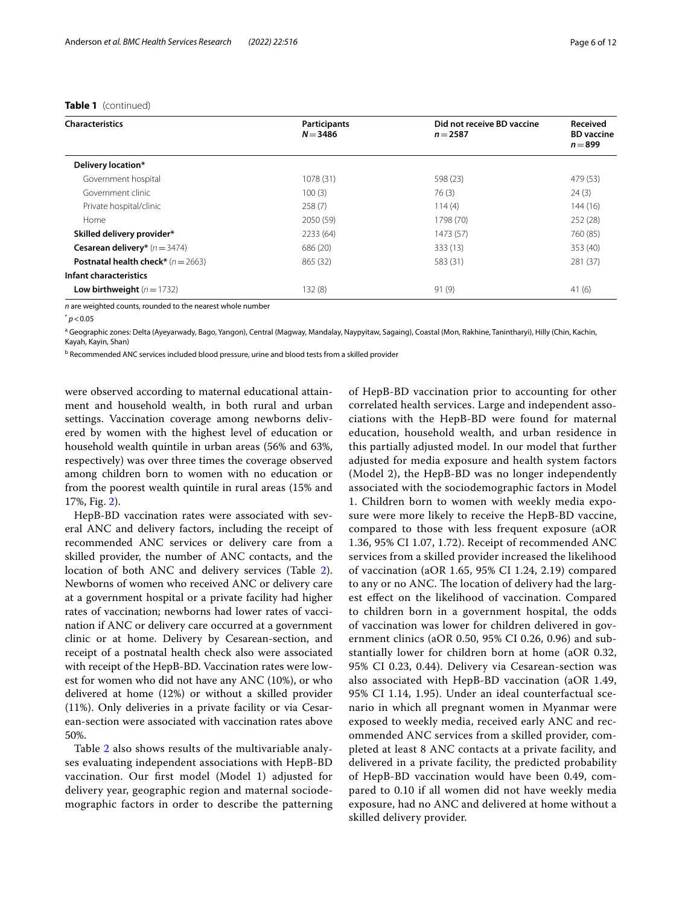## **Table 1** (continued)

| <b>Characteristics</b>                      | Participants | Did not receive BD vaccine | <b>Received</b>                |  |
|---------------------------------------------|--------------|----------------------------|--------------------------------|--|
|                                             | $N = 3486$   | $n = 2587$                 | <b>BD</b> vaccine<br>$n = 899$ |  |
| Delivery location*                          |              |                            |                                |  |
| Government hospital                         | 1078 (31)    | 598 (23)                   | 479 (53)                       |  |
| Government clinic                           | 100(3)       | 76(3)                      | 24(3)                          |  |
| Private hospital/clinic                     | 258(7)       | 114(4)                     | 144 (16)                       |  |
| Home                                        | 2050 (59)    | 1798 (70)                  | 252 (28)                       |  |
| Skilled delivery provider*                  | 2233 (64)    | 1473 (57)                  | 760 (85)                       |  |
| <b>Cesarean delivery*</b> $(n = 3474)$      | 686 (20)     | 333 (13)                   | 353 (40)                       |  |
| <b>Postnatal health check*</b> $(n = 2663)$ | 865 (32)     | 583 (31)                   | 281 (37)                       |  |
| Infant characteristics                      |              |                            |                                |  |
| Low birthweight $(n=1732)$                  | 132(8)       | 91(9)                      | 41(6)                          |  |

*n* are weighted counts, rounded to the nearest whole number

<sup>a</sup> Geographic zones: Delta (Ayeyarwady, Bago, Yangon), Central (Magway, Mandalay, Naypyitaw, Sagaing), Coastal (Mon, Rakhine, Tanintharyi), Hilly (Chin, Kachin, Kayah, Kayin, Shan)

<sup>b</sup> Recommended ANC services included blood pressure, urine and blood tests from a skilled provider

were observed according to maternal educational attainment and household wealth, in both rural and urban settings. Vaccination coverage among newborns delivered by women with the highest level of education or household wealth quintile in urban areas (56% and 63%, respectively) was over three times the coverage observed among children born to women with no education or from the poorest wealth quintile in rural areas (15% and 17%, Fig. [2\)](#page-8-0).

HepB-BD vaccination rates were associated with several ANC and delivery factors, including the receipt of recommended ANC services or delivery care from a skilled provider, the number of ANC contacts, and the location of both ANC and delivery services (Table [2](#page-6-0)). Newborns of women who received ANC or delivery care at a government hospital or a private facility had higher rates of vaccination; newborns had lower rates of vaccination if ANC or delivery care occurred at a government clinic or at home. Delivery by Cesarean-section, and receipt of a postnatal health check also were associated with receipt of the HepB-BD. Vaccination rates were lowest for women who did not have any ANC (10%), or who delivered at home (12%) or without a skilled provider (11%). Only deliveries in a private facility or via Cesarean-section were associated with vaccination rates above 50%.

Table [2](#page-6-0) also shows results of the multivariable analyses evaluating independent associations with HepB-BD vaccination. Our frst model (Model 1) adjusted for delivery year, geographic region and maternal sociodemographic factors in order to describe the patterning of HepB-BD vaccination prior to accounting for other correlated health services. Large and independent associations with the HepB-BD were found for maternal education, household wealth, and urban residence in this partially adjusted model. In our model that further adjusted for media exposure and health system factors (Model 2), the HepB-BD was no longer independently associated with the sociodemographic factors in Model 1. Children born to women with weekly media exposure were more likely to receive the HepB-BD vaccine, compared to those with less frequent exposure (aOR 1.36, 95% CI 1.07, 1.72). Receipt of recommended ANC services from a skilled provider increased the likelihood of vaccination (aOR 1.65, 95% CI 1.24, 2.19) compared to any or no ANC. The location of delivery had the largest efect on the likelihood of vaccination. Compared to children born in a government hospital, the odds of vaccination was lower for children delivered in government clinics (aOR 0.50, 95% CI 0.26, 0.96) and substantially lower for children born at home (aOR 0.32, 95% CI 0.23, 0.44). Delivery via Cesarean-section was also associated with HepB-BD vaccination (aOR 1.49, 95% CI 1.14, 1.95). Under an ideal counterfactual scenario in which all pregnant women in Myanmar were exposed to weekly media, received early ANC and recommended ANC services from a skilled provider, completed at least 8 ANC contacts at a private facility, and delivered in a private facility, the predicted probability of HepB-BD vaccination would have been 0.49, compared to 0.10 if all women did not have weekly media exposure, had no ANC and delivered at home without a skilled delivery provider.

<sup>\*</sup> *p*<0.05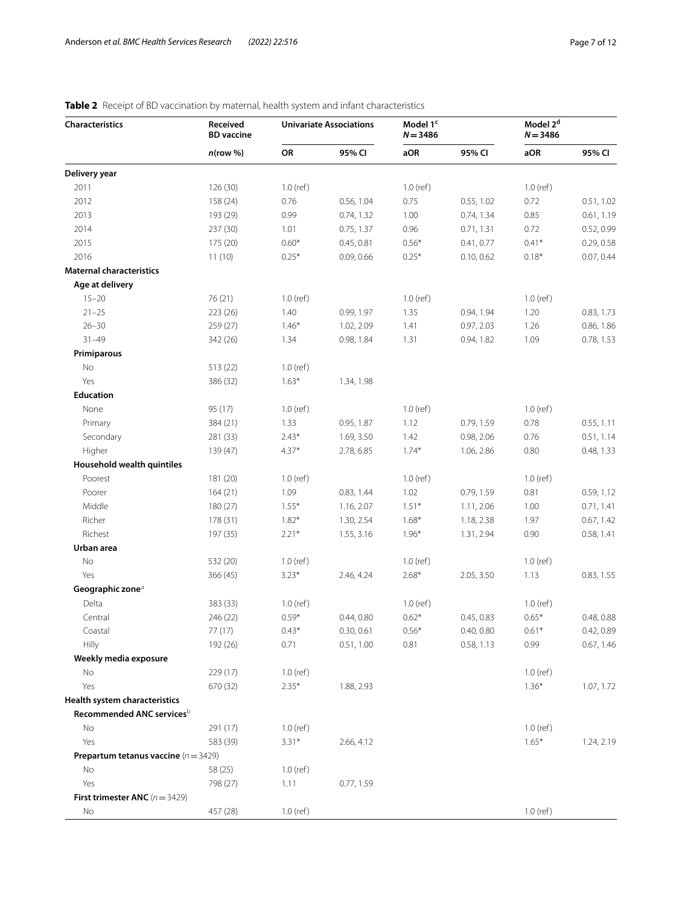| <b>Characteristics</b>                        | Received<br><b>BD</b> vaccine | <b>Univariate Associations</b> |            | Model 1 <sup>c</sup><br>$N = 3486$ |            | Model 2 <sup>d</sup><br>$N = 3486$ |            |
|-----------------------------------------------|-------------------------------|--------------------------------|------------|------------------------------------|------------|------------------------------------|------------|
|                                               | $n$ (row %)                   | OR                             | 95% CI     | aOR                                | 95% CI     | aOR                                | 95% CI     |
| Delivery year                                 |                               |                                |            |                                    |            |                                    |            |
| 2011                                          | 126(30)                       | $1.0$ (ref)                    |            | $1.0$ (ref)                        |            | $1.0$ (ref)                        |            |
| 2012                                          | 158 (24)                      | 0.76                           | 0.56, 1.04 | 0.75                               | 0.55, 1.02 | 0.72                               | 0.51, 1.02 |
| 2013                                          | 193 (29)                      | 0.99                           | 0.74, 1.32 | 1.00                               | 0.74, 1.34 | 0.85                               | 0.61, 1.19 |
| 2014                                          | 237 (30)                      | 1.01                           | 0.75, 1.37 | 0.96                               | 0.71, 1.31 | 0.72                               | 0.52, 0.99 |
| 2015                                          | 175 (20)                      | $0.60*$                        | 0.45, 0.81 | $0.56*$                            | 0.41, 0.77 | $0.41*$                            | 0.29, 0.58 |
| 2016                                          | 11(10)                        | $0.25*$                        | 0.09, 0.66 | $0.25*$                            | 0.10, 0.62 | $0.18*$                            | 0.07, 0.44 |
| <b>Maternal characteristics</b>               |                               |                                |            |                                    |            |                                    |            |
| Age at delivery                               |                               |                                |            |                                    |            |                                    |            |
| $15 - 20$                                     | 76 (21)                       | $1.0$ (ref)                    |            | $1.0$ (ref)                        |            | $1.0$ (ref)                        |            |
| $21 - 25$                                     | 223 (26)                      | 1.40                           | 0.99, 1.97 | 1.35                               | 0.94, 1.94 | 1.20                               | 0.83, 1.73 |
| $26 - 30$                                     | 259 (27)                      | $1.46*$                        | 1.02, 2.09 | 1.41                               | 0.97, 2.03 | 1.26                               | 0.86, 1.86 |
| $31 - 49$                                     | 342 (26)                      | 1.34                           | 0.98, 1.84 | 1.31                               | 0.94, 1.82 | 1.09                               | 0.78, 1.53 |
| Primiparous                                   |                               |                                |            |                                    |            |                                    |            |
| No                                            | 513 (22)                      | $1.0$ (ref)                    |            |                                    |            |                                    |            |
| Yes                                           | 386 (32)                      | $1.63*$                        | 1.34, 1.98 |                                    |            |                                    |            |
| <b>Education</b>                              |                               |                                |            |                                    |            |                                    |            |
| None                                          | 95 (17)                       | $1.0$ (ref)                    |            | $1.0$ (ref)                        |            | $1.0$ (ref)                        |            |
| Primary                                       | 384 (21)                      | 1.33                           | 0.95, 1.87 | 1.12                               | 0.79, 1.59 | 0.78                               | 0.55, 1.11 |
| Secondary                                     | 281 (33)                      | $2.43*$                        | 1.69, 3.50 | 1.42                               | 0.98, 2.06 | 0.76                               | 0.51, 1.14 |
| Higher                                        | 139 (47)                      | $4.37*$                        | 2.78, 6.85 | $1.74*$                            | 1.06, 2.86 | 0.80                               | 0.48, 1.33 |
| Household wealth quintiles                    |                               |                                |            |                                    |            |                                    |            |
| Poorest                                       | 181 (20)                      | $1.0$ (ref)                    |            | $1.0$ (ref)                        |            | $1.0$ (ref)                        |            |
| Poorer                                        | 164(21)                       | 1.09                           | 0.83, 1.44 | 1.02                               | 0.79, 1.59 | 0.81                               | 0.59, 1.12 |
| Middle                                        | 180 (27)                      | $1.55*$                        | 1.16, 2.07 | $1.51*$                            | 1.11, 2.06 | 1.00                               | 0.71, 1.41 |
| Richer                                        | 178 (31)                      | $1.82*$                        | 1.30, 2.54 | $1.68*$                            | 1.18, 2.38 | 1.97                               | 0.67, 1.42 |
| Richest                                       | 197 (35)                      | $2.21*$                        | 1.55, 3.16 | $1.96*$                            | 1.31, 2.94 | 0.90                               | 0.58, 1.41 |
| Urban area                                    |                               |                                |            |                                    |            |                                    |            |
| No                                            | 532 (20)                      | $1.0$ (ref)                    |            | $1.0$ (ref)                        |            | $1.0$ (ref)                        |            |
| Yes                                           | 366 (45)                      | $3.23*$                        | 2.46, 4.24 | $2.68*$                            | 2.05, 3.50 | 1.13                               | 0.83, 1.55 |
| Geographic zone <sup>a</sup>                  |                               |                                |            |                                    |            |                                    |            |
| Delta                                         | 383 (33)                      | $1.0$ (ref)                    |            | $1.0$ (ref)                        |            | $1.0$ (ref)                        |            |
| Central                                       | 246 (22)                      | $0.59*$                        | 0.44, 0.80 | $0.62*$                            | 0.45, 0.83 | $0.65*$                            | 0.48, 0.88 |
| Coastal                                       | 77 (17)                       | $0.43*$                        | 0.30, 0.61 | $0.56*$                            | 0.40, 0.80 | $0.61*$                            | 0.42, 0.89 |
| Hilly                                         | 192 (26)                      | 0.71                           | 0.51, 1.00 | 0.81                               | 0.58, 1.13 | 0.99                               | 0.67, 1.46 |
| Weekly media exposure                         |                               |                                |            |                                    |            |                                    |            |
| No                                            | 229 (17)                      | $1.0$ (ref)                    |            |                                    |            | $1.0$ (ref)                        |            |
| Yes                                           | 670 (32)                      | $2.35*$                        | 1.88, 2.93 |                                    |            | $1.36*$                            | 1.07, 1.72 |
| Health system characteristics                 |                               |                                |            |                                    |            |                                    |            |
| Recommended ANC servicesb                     |                               |                                |            |                                    |            |                                    |            |
| No                                            | 291 (17)                      | $1.0$ (ref)                    |            |                                    |            | $1.0$ (ref)                        |            |
| Yes                                           | 583 (39)                      | $3.31*$                        | 2.66, 4.12 |                                    |            | $1.65*$                            | 1.24, 2.19 |
| <b>Prepartum tetanus vaccine</b> $(n = 3429)$ |                               |                                |            |                                    |            |                                    |            |
| No                                            | 58 (25)                       | $1.0$ (ref)                    |            |                                    |            |                                    |            |
| Yes                                           | 798 (27)                      | 1.11                           | 0.77, 1.59 |                                    |            |                                    |            |
| First trimester ANC $(n = 3429)$              |                               |                                |            |                                    |            |                                    |            |
| No                                            | 457 (28)                      | $1.0$ (ref)                    |            |                                    |            | $1.0$ (ref)                        |            |

# <span id="page-6-0"></span>**Table 2** Receipt of BD vaccination by maternal, health system and infant characteristics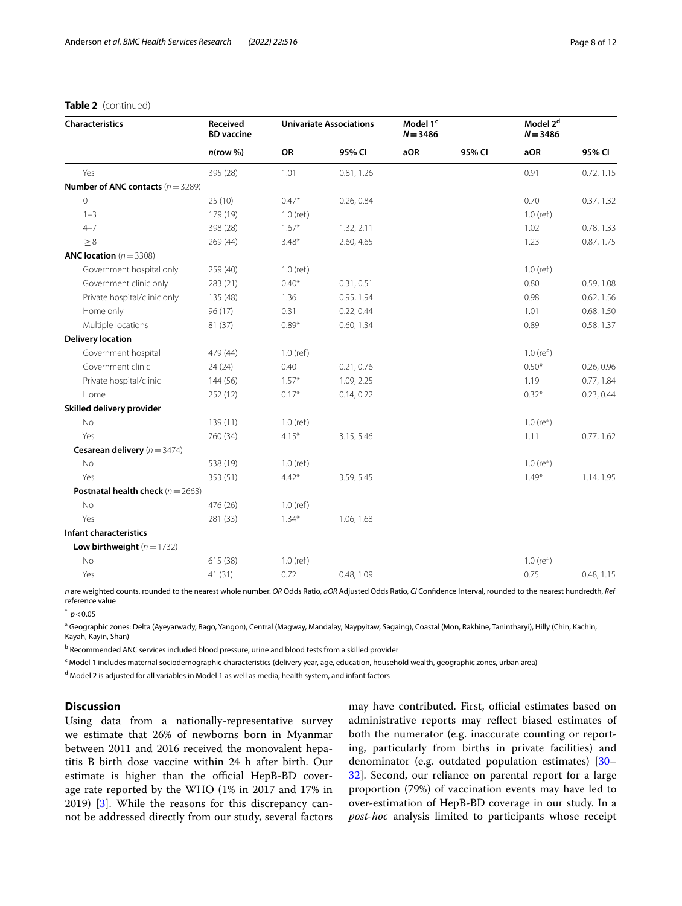## **Table 2** (continued)

| Received<br><b>BD</b> vaccine<br>$n$ (row %) | <b>Univariate Associations</b> |            | Model 1 <sup>c</sup><br>$N = 3486$ |        | $N = 3486$  |                      |
|----------------------------------------------|--------------------------------|------------|------------------------------------|--------|-------------|----------------------|
|                                              | OR                             | 95% CI     | aOR                                | 95% CI | aOR         | 95% CI               |
| 395 (28)                                     | 1.01                           | 0.81, 1.26 |                                    |        | 0.91        | 0.72, 1.15           |
| <b>Number of ANC contacts</b> $(n = 3289)$   |                                |            |                                    |        |             |                      |
| 25(10)                                       | $0.47*$                        | 0.26, 0.84 |                                    |        | 0.70        | 0.37, 1.32           |
| 179 (19)                                     | $1.0$ (ref)                    |            |                                    |        | $1.0$ (ref) |                      |
| 398 (28)                                     | $1.67*$                        | 1.32, 2.11 |                                    |        | 1.02        | 0.78, 1.33           |
| 269(44)                                      | $3.48*$                        | 2.60, 4.65 |                                    |        | 1.23        | 0.87, 1.75           |
|                                              |                                |            |                                    |        |             |                      |
| 259 (40)                                     | $1.0$ (ref)                    |            |                                    |        | $1.0$ (ref) |                      |
| 283 (21)                                     | $0.40*$                        | 0.31, 0.51 |                                    |        | 0.80        | 0.59, 1.08           |
| 135 (48)                                     | 1.36                           | 0.95, 1.94 |                                    |        | 0.98        | 0.62, 1.56           |
| 96(17)                                       | 0.31                           | 0.22, 0.44 |                                    |        | 1.01        | 0.68, 1.50           |
| 81 (37)                                      | $0.89*$                        | 0.60, 1.34 |                                    |        | 0.89        | 0.58, 1.37           |
|                                              |                                |            |                                    |        |             |                      |
| 479 (44)                                     | $1.0$ (ref)                    |            |                                    |        | $1.0$ (ref) |                      |
| 24(24)                                       | 0.40                           | 0.21, 0.76 |                                    |        | $0.50*$     | 0.26, 0.96           |
| 144 (56)                                     | $1.57*$                        | 1.09, 2.25 |                                    |        | 1.19        | 0.77, 1.84           |
| 252(12)                                      | $0.17*$                        | 0.14, 0.22 |                                    |        | $0.32*$     | 0.23, 0.44           |
|                                              |                                |            |                                    |        |             |                      |
| 139(11)                                      | $1.0$ (ref)                    |            |                                    |        | $1.0$ (ref) |                      |
| 760 (34)                                     | $4.15*$                        | 3.15, 5.46 |                                    |        | 1.11        | 0.77, 1.62           |
|                                              |                                |            |                                    |        |             |                      |
| 538 (19)                                     | $1.0$ (ref)                    |            |                                    |        | $1.0$ (ref) |                      |
| 353 (51)                                     | $4.42*$                        | 3.59, 5.45 |                                    |        | $1.49*$     | 1.14, 1.95           |
| <b>Postnatal health check</b> ( $n = 2663$ ) |                                |            |                                    |        |             |                      |
| 476 (26)                                     | $1.0$ (ref)                    |            |                                    |        |             |                      |
| 281 (33)                                     | $1.34*$                        | 1.06, 1.68 |                                    |        |             |                      |
|                                              |                                |            |                                    |        |             |                      |
|                                              |                                |            |                                    |        |             |                      |
| 615 (38)                                     | $1.0$ (ref)                    |            |                                    |        | $1.0$ (ref) |                      |
| 41(31)                                       | 0.72                           | 0.48, 1.09 |                                    |        | 0.75        | 0.48, 1.15           |
|                                              |                                |            |                                    |        |             | Model 2 <sup>d</sup> |

*n* are weighted counts, rounded to the nearest whole number. *OR* Odds Ratio, *aOR* Adjusted Odds Ratio, *CI* Confdence Interval, rounded to the nearest hundredth, *Ref* reference value

 $p$  < 0.05

<sup>a</sup> Geographic zones: Delta (Ayeyarwady, Bago, Yangon), Central (Magway, Mandalay, Naypyitaw, Sagaing), Coastal (Mon, Rakhine, Tanintharyi), Hilly (Chin, Kachin, Kayah, Kayin, Shan)

<sup>b</sup> Recommended ANC services included blood pressure, urine and blood tests from a skilled provider

<sup>c</sup> Model 1 includes maternal sociodemographic characteristics (delivery year, age, education, household wealth, geographic zones, urban area)

<sup>d</sup> Model 2 is adjusted for all variables in Model 1 as well as media, health system, and infant factors

## **Discussion**

Using data from a nationally-representative survey we estimate that 26% of newborns born in Myanmar between 2011 and 2016 received the monovalent hepatitis B birth dose vaccine within 24 h after birth. Our estimate is higher than the official HepB-BD coverage rate reported by the WHO (1% in 2017 and 17% in 2019) [\[3\]](#page-10-2). While the reasons for this discrepancy cannot be addressed directly from our study, several factors may have contributed. First, official estimates based on administrative reports may refect biased estimates of both the numerator (e.g. inaccurate counting or reporting, particularly from births in private facilities) and denominator (e.g. outdated population estimates) [[30–](#page-11-12) [32\]](#page-11-13). Second, our reliance on parental report for a large proportion (79%) of vaccination events may have led to over-estimation of HepB-BD coverage in our study. In a *post-hoc* analysis limited to participants whose receipt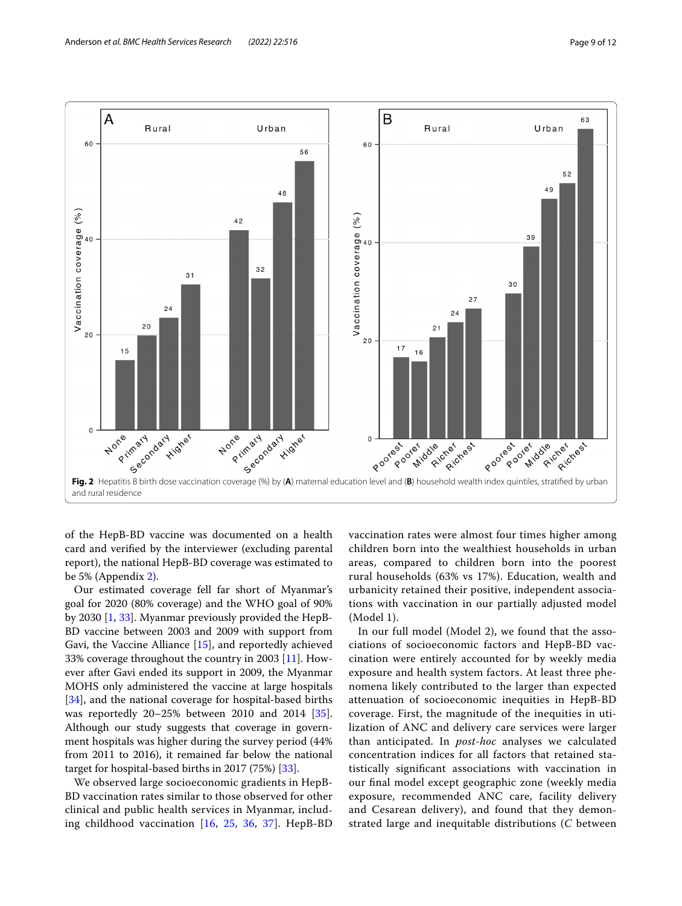

<span id="page-8-0"></span>of the HepB-BD vaccine was documented on a health card and verifed by the interviewer (excluding parental report), the national HepB-BD coverage was estimated to be 5% (Appendix [2](#page-10-12)).

Our estimated coverage fell far short of Myanmar's goal for 2020 (80% coverage) and the WHO goal of 90% by 2030 [\[1](#page-10-0), [33\]](#page-11-14). Myanmar previously provided the HepB-BD vaccine between 2003 and 2009 with support from Gavi, the Vaccine Alliance [\[15\]](#page-11-2), and reportedly achieved 33% coverage throughout the country in 2003 [[11](#page-10-10)]. However after Gavi ended its support in 2009, the Myanmar MOHS only administered the vaccine at large hospitals [[34\]](#page-11-15), and the national coverage for hospital-based births was reportedly 20–25% between 2010 and 2014 [\[35](#page-11-16)]. Although our study suggests that coverage in government hospitals was higher during the survey period (44% from 2011 to 2016), it remained far below the national target for hospital-based births in 2017 (75%) [\[33](#page-11-14)].

We observed large socioeconomic gradients in HepB-BD vaccination rates similar to those observed for other clinical and public health services in Myanmar, including childhood vaccination [\[16](#page-11-3), [25](#page-11-7), [36](#page-11-17), [37\]](#page-11-18). HepB-BD vaccination rates were almost four times higher among children born into the wealthiest households in urban areas, compared to children born into the poorest rural households (63% vs 17%). Education, wealth and urbanicity retained their positive, independent associations with vaccination in our partially adjusted model (Model 1).

In our full model (Model 2), we found that the associations of socioeconomic factors and HepB-BD vaccination were entirely accounted for by weekly media exposure and health system factors. At least three phenomena likely contributed to the larger than expected attenuation of socioeconomic inequities in HepB-BD coverage. First, the magnitude of the inequities in utilization of ANC and delivery care services were larger than anticipated. In *post-hoc* analyses we calculated concentration indices for all factors that retained statistically signifcant associations with vaccination in our fnal model except geographic zone (weekly media exposure, recommended ANC care, facility delivery and Cesarean delivery), and found that they demonstrated large and inequitable distributions (*C* between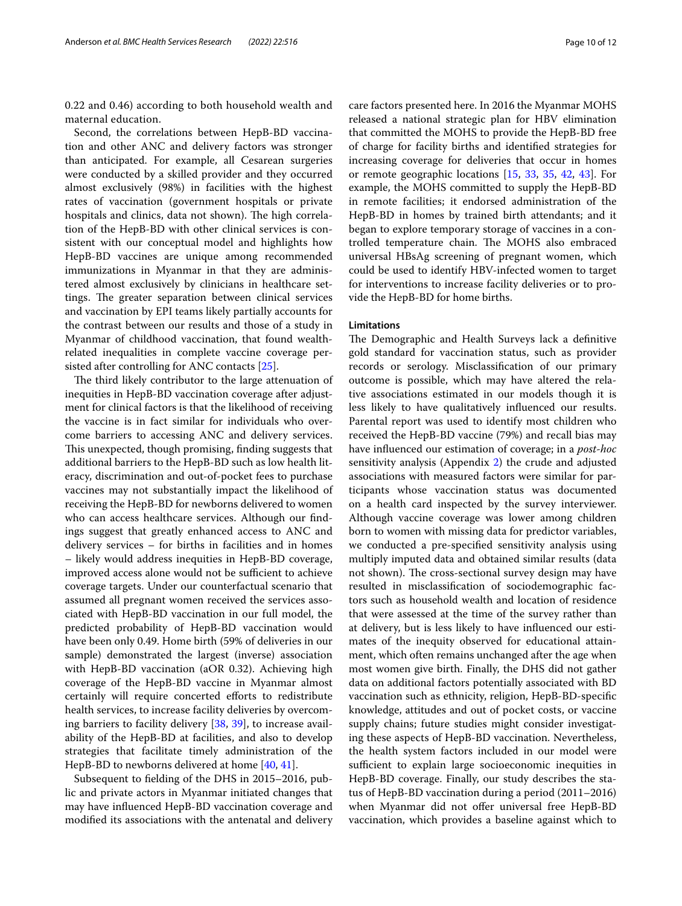0.22 and 0.46) according to both household wealth and maternal education.

Second, the correlations between HepB-BD vaccination and other ANC and delivery factors was stronger than anticipated. For example, all Cesarean surgeries were conducted by a skilled provider and they occurred almost exclusively (98%) in facilities with the highest rates of vaccination (government hospitals or private hospitals and clinics, data not shown). The high correlation of the HepB-BD with other clinical services is consistent with our conceptual model and highlights how HepB-BD vaccines are unique among recommended immunizations in Myanmar in that they are administered almost exclusively by clinicians in healthcare settings. The greater separation between clinical services and vaccination by EPI teams likely partially accounts for the contrast between our results and those of a study in Myanmar of childhood vaccination, that found wealthrelated inequalities in complete vaccine coverage persisted after controlling for ANC contacts [\[25](#page-11-7)].

The third likely contributor to the large attenuation of inequities in HepB-BD vaccination coverage after adjustment for clinical factors is that the likelihood of receiving the vaccine is in fact similar for individuals who overcome barriers to accessing ANC and delivery services. This unexpected, though promising, finding suggests that additional barriers to the HepB-BD such as low health literacy, discrimination and out-of-pocket fees to purchase vaccines may not substantially impact the likelihood of receiving the HepB-BD for newborns delivered to women who can access healthcare services. Although our fndings suggest that greatly enhanced access to ANC and delivery services – for births in facilities and in homes – likely would address inequities in HepB-BD coverage, improved access alone would not be sufficient to achieve coverage targets. Under our counterfactual scenario that assumed all pregnant women received the services associated with HepB-BD vaccination in our full model, the predicted probability of HepB-BD vaccination would have been only 0.49. Home birth (59% of deliveries in our sample) demonstrated the largest (inverse) association with HepB-BD vaccination (aOR 0.32). Achieving high coverage of the HepB-BD vaccine in Myanmar almost certainly will require concerted eforts to redistribute health services, to increase facility deliveries by overcoming barriers to facility delivery [\[38](#page-11-19), [39](#page-11-20)], to increase availability of the HepB-BD at facilities, and also to develop strategies that facilitate timely administration of the HepB-BD to newborns delivered at home [[40,](#page-11-21) [41](#page-11-22)].

Subsequent to felding of the DHS in 2015–2016, public and private actors in Myanmar initiated changes that may have infuenced HepB-BD vaccination coverage and modifed its associations with the antenatal and delivery care factors presented here. In 2016 the Myanmar MOHS released a national strategic plan for HBV elimination that committed the MOHS to provide the HepB-BD free of charge for facility births and identifed strategies for increasing coverage for deliveries that occur in homes or remote geographic locations [[15,](#page-11-2) [33](#page-11-14), [35](#page-11-16), [42,](#page-11-23) [43\]](#page-11-24). For example, the MOHS committed to supply the HepB-BD in remote facilities; it endorsed administration of the HepB-BD in homes by trained birth attendants; and it began to explore temporary storage of vaccines in a controlled temperature chain. The MOHS also embraced universal HBsAg screening of pregnant women, which could be used to identify HBV-infected women to target for interventions to increase facility deliveries or to provide the HepB-BD for home births.

## **Limitations**

The Demographic and Health Surveys lack a definitive gold standard for vaccination status, such as provider records or serology. Misclassifcation of our primary outcome is possible, which may have altered the relative associations estimated in our models though it is less likely to have qualitatively infuenced our results. Parental report was used to identify most children who received the HepB-BD vaccine (79%) and recall bias may have infuenced our estimation of coverage; in a *post-hoc* sensitivity analysis (Appendix [2\)](#page-10-12) the crude and adjusted associations with measured factors were similar for participants whose vaccination status was documented on a health card inspected by the survey interviewer. Although vaccine coverage was lower among children born to women with missing data for predictor variables, we conducted a pre-specifed sensitivity analysis using multiply imputed data and obtained similar results (data not shown). The cross-sectional survey design may have resulted in misclassifcation of sociodemographic factors such as household wealth and location of residence that were assessed at the time of the survey rather than at delivery, but is less likely to have infuenced our estimates of the inequity observed for educational attainment, which often remains unchanged after the age when most women give birth. Finally, the DHS did not gather data on additional factors potentially associated with BD vaccination such as ethnicity, religion, HepB-BD-specifc knowledge, attitudes and out of pocket costs, or vaccine supply chains; future studies might consider investigating these aspects of HepB-BD vaccination. Nevertheless, the health system factors included in our model were sufficient to explain large socioeconomic inequities in HepB-BD coverage. Finally, our study describes the status of HepB-BD vaccination during a period (2011–2016) when Myanmar did not offer universal free HepB-BD vaccination, which provides a baseline against which to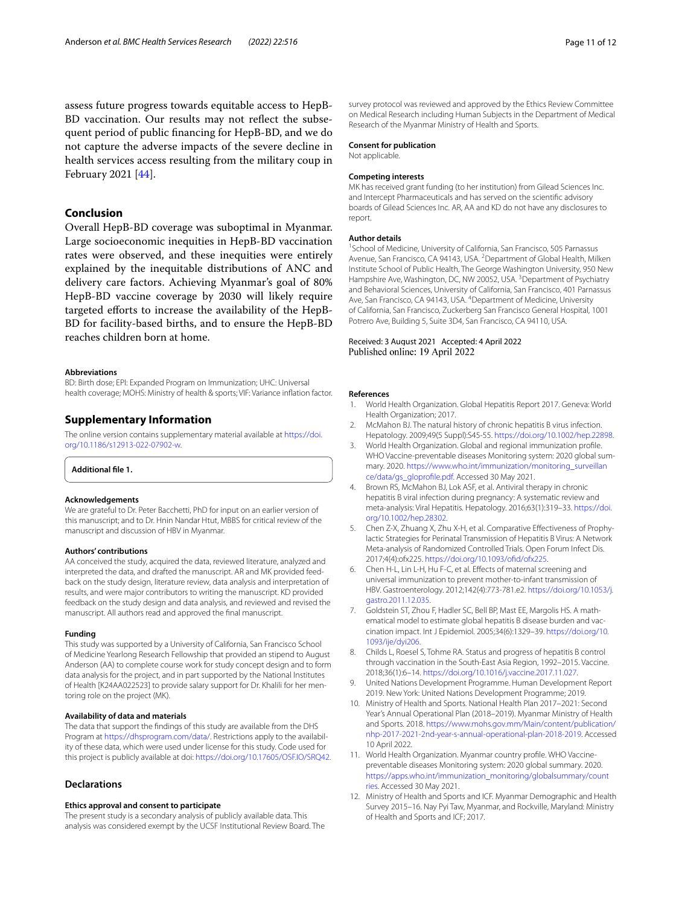assess future progress towards equitable access to HepB-BD vaccination. Our results may not refect the subsequent period of public fnancing for HepB-BD, and we do not capture the adverse impacts of the severe decline in health services access resulting from the military coup in February 2021 [[44\]](#page-11-25).

## **Conclusion**

Overall HepB-BD coverage was suboptimal in Myanmar. Large socioeconomic inequities in HepB-BD vaccination rates were observed, and these inequities were entirely explained by the inequitable distributions of ANC and delivery care factors. Achieving Myanmar's goal of 80% HepB-BD vaccine coverage by 2030 will likely require targeted eforts to increase the availability of the HepB-BD for facility-based births, and to ensure the HepB-BD reaches children born at home.

#### **Abbreviations**

BD: Birth dose; EPI: Expanded Program on Immunization; UHC: Universal health coverage; MOHS: Ministry of health & sports; VIF: Variance infation factor.

## **Supplementary Information**

The online version contains supplementary material available at [https://doi.](https://doi.org/10.1186/s12913-022-07902-w) [org/10.1186/s12913-022-07902-w.](https://doi.org/10.1186/s12913-022-07902-w)

<span id="page-10-12"></span>**Additional fle 1.**

#### **Acknowledgements**

We are grateful to Dr. Peter Bacchetti, PhD for input on an earlier version of this manuscript; and to Dr. Hnin Nandar Htut, MBBS for critical review of the manuscript and discussion of HBV in Myanmar.

#### **Authors' contributions**

AA conceived the study, acquired the data, reviewed literature, analyzed and interpreted the data, and drafted the manuscript. AR and MK provided feedback on the study design, literature review, data analysis and interpretation of results, and were major contributors to writing the manuscript. KD provided feedback on the study design and data analysis, and reviewed and revised the manuscript. All authors read and approved the fnal manuscript.

#### **Funding**

This study was supported by a University of California, San Francisco School of Medicine Yearlong Research Fellowship that provided an stipend to August Anderson (AA) to complete course work for study concept design and to form data analysis for the project, and in part supported by the National Institutes of Health [K24AA022523] to provide salary support for Dr. Khalili for her mentoring role on the project (MK).

#### **Availability of data and materials**

The data that support the fndings of this study are available from the DHS Program at [https://dhsprogram.com/data/.](https://dhsprogram.com/data/) Restrictions apply to the availability of these data, which were used under license for this study. Code used for this project is publicly available at doi: [https://doi.org/10.17605/OSF.IO/SRQ42.](https://doi.org/10.17605/OSF.IO/SRQ42)

#### **Declarations**

#### **Ethics approval and consent to participate**

The present study is a secondary analysis of publicly available data. This analysis was considered exempt by the UCSF Institutional Review Board. The

survey protocol was reviewed and approved by the Ethics Review Committee on Medical Research including Human Subjects in the Department of Medical Research of the Myanmar Ministry of Health and Sports.

## **Consent for publication**

Not applicable.

#### **Competing interests**

MK has received grant funding (to her institution) from Gilead Sciences Inc. and Intercept Pharmaceuticals and has served on the scientifc advisory boards of Gilead Sciences Inc. AR, AA and KD do not have any disclosures to report.

#### **Author details**

<sup>1</sup> School of Medicine, University of California, San Francisco, 505 Parnassus Avenue, San Francisco, CA 94143, USA. <sup>2</sup> Department of Global Health, Milken Institute School of Public Health, The George Washington University, 950 New Hampshire Ave, Washington, DC, NW 20052, USA.<sup>3</sup> Department of Psychiatry and Behavioral Sciences, University of California, San Francisco, 401 Parnassus Ave, San Francisco, CA 94143, USA. <sup>4</sup> Department of Medicine, University of California, San Francisco, Zuckerberg San Francisco General Hospital, 1001 Potrero Ave, Building 5, Suite 3D4, San Francisco, CA 94110, USA.

### Received: 3 August 2021 Accepted: 4 April 2022 Published online: 19 April 2022

#### **References**

- <span id="page-10-0"></span>1. World Health Organization. Global Hepatitis Report 2017. Geneva: World Health Organization; 2017.
- <span id="page-10-1"></span>2. McMahon BJ. The natural history of chronic hepatitis B virus infection. Hepatology. 2009;49(5 Suppl):S45-55.<https://doi.org/10.1002/hep.22898>.
- <span id="page-10-2"></span>3. World Health Organization. Global and regional immunization profle. WHO Vaccine-preventable diseases Monitoring system: 2020 global summary. 2020. [https://www.who.int/immunization/monitoring\\_surveillan](https://www.who.int/immunization/monitoring_surveillance/data/gs_gloprofile.pdf) [ce/data/gs\\_gloprofle.pdf.](https://www.who.int/immunization/monitoring_surveillance/data/gs_gloprofile.pdf) Accessed 30 May 2021.
- <span id="page-10-3"></span>4. Brown RS, McMahon BJ, Lok ASF, et al. Antiviral therapy in chronic hepatitis B viral infection during pregnancy: A systematic review and meta-analysis: Viral Hepatitis. Hepatology. 2016;63(1):319–33. [https://doi.](https://doi.org/10.1002/hep.28302) [org/10.1002/hep.28302.](https://doi.org/10.1002/hep.28302)
- <span id="page-10-4"></span>5. Chen Z-X, Zhuang X, Zhu X-H, et al. Comparative Efectiveness of Prophylactic Strategies for Perinatal Transmission of Hepatitis B Virus: A Network Meta-analysis of Randomized Controlled Trials. Open Forum Infect Dis. 2017;4(4):ofx225. [https://doi.org/10.1093/ofd/ofx225.](https://doi.org/10.1093/ofid/ofx225)
- <span id="page-10-5"></span>6. Chen H-L, Lin L-H, Hu F-C, et al. Efects of maternal screening and universal immunization to prevent mother-to-infant transmission of HBV. Gastroenterology. 2012;142(4):773-781.e2. [https://doi.org/10.1053/j.](https://doi.org/10.1053/j.gastro.2011.12.035) [gastro.2011.12.035](https://doi.org/10.1053/j.gastro.2011.12.035).
- <span id="page-10-6"></span>7. Goldstein ST, Zhou F, Hadler SC, Bell BP, Mast EE, Margolis HS. A mathematical model to estimate global hepatitis B disease burden and vaccination impact. Int J Epidemiol. 2005;34(6):1329–39. [https://doi.org/10.](https://doi.org/10.1093/ije/dyi206) [1093/ije/dyi206](https://doi.org/10.1093/ije/dyi206).
- <span id="page-10-7"></span>8. Childs L, Roesel S, Tohme RA. Status and progress of hepatitis B control through vaccination in the South-East Asia Region, 1992–2015. Vaccine. 2018;36(1):6–14. [https://doi.org/10.1016/j.vaccine.2017.11.027.](https://doi.org/10.1016/j.vaccine.2017.11.027)
- <span id="page-10-8"></span>9. United Nations Development Programme. Human Development Report 2019. New York: United Nations Development Programme; 2019.
- <span id="page-10-9"></span>10. Ministry of Health and Sports. National Health Plan 2017–2021: Second Year's Annual Operational Plan (2018–2019). Myanmar Ministry of Health and Sports. 2018. [https://www.mohs.gov.mm/Main/content/publication/](https://www.mohs.gov.mm/Main/content/publication/nhp-2017-2021-2nd-year-s-annual-operational-plan-2018-2019) [nhp-2017-2021-2nd-year-s-annual-operational-plan-2018-2019.](https://www.mohs.gov.mm/Main/content/publication/nhp-2017-2021-2nd-year-s-annual-operational-plan-2018-2019) Accessed 10 April 2022.
- <span id="page-10-10"></span>11. World Health Organization. Myanmar country profle. WHO Vaccinepreventable diseases Monitoring system: 2020 global summary. 2020. [https://apps.who.int/immunization\\_monitoring/globalsummary/count](https://apps.who.int/immunization_monitoring/globalsummary/countries) [ries.](https://apps.who.int/immunization_monitoring/globalsummary/countries) Accessed 30 May 2021.
- <span id="page-10-11"></span>12. Ministry of Health and Sports and ICF. Myanmar Demographic and Health Survey 2015–16. Nay Pyi Taw, Myanmar, and Rockville, Maryland: Ministry of Health and Sports and ICF; 2017.